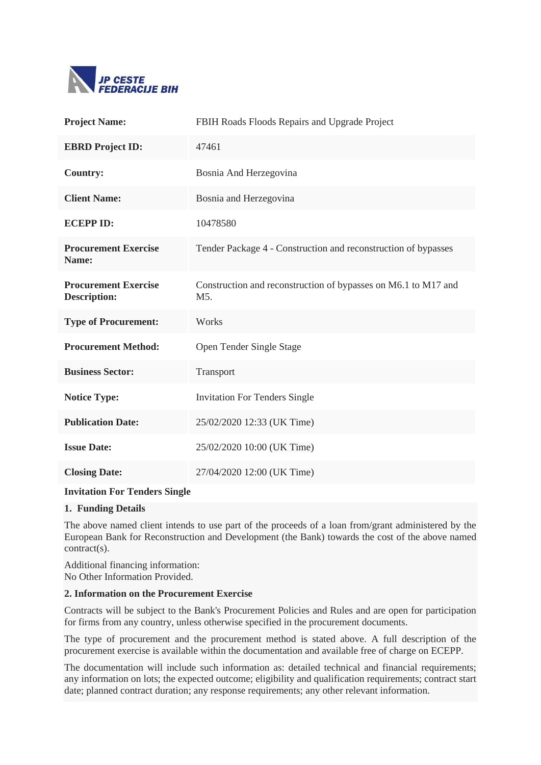

| <b>Project Name:</b>                               | FBIH Roads Floods Repairs and Upgrade Project                                      |
|----------------------------------------------------|------------------------------------------------------------------------------------|
| <b>EBRD Project ID:</b>                            | 47461                                                                              |
| <b>Country:</b>                                    | Bosnia And Herzegovina                                                             |
| <b>Client Name:</b>                                | Bosnia and Herzegovina                                                             |
| <b>ECEPPID:</b>                                    | 10478580                                                                           |
| <b>Procurement Exercise</b><br>Name:               | Tender Package 4 - Construction and reconstruction of bypasses                     |
| <b>Procurement Exercise</b><br><b>Description:</b> | Construction and reconstruction of bypasses on M6.1 to M17 and<br>M <sub>5</sub> . |
| <b>Type of Procurement:</b>                        | Works                                                                              |
| <b>Procurement Method:</b>                         | Open Tender Single Stage                                                           |
| <b>Business Sector:</b>                            | Transport                                                                          |
| <b>Notice Type:</b>                                | <b>Invitation For Tenders Single</b>                                               |
| <b>Publication Date:</b>                           | 25/02/2020 12:33 (UK Time)                                                         |
| <b>Issue Date:</b>                                 | 25/02/2020 10:00 (UK Time)                                                         |
| <b>Closing Date:</b>                               | 27/04/2020 12:00 (UK Time)                                                         |

## **Invitation For Tenders Single**

## **1. Funding Details**

The above named client intends to use part of the proceeds of a loan from/grant administered by the European Bank for Reconstruction and Development (the Bank) towards the cost of the above named contract(s).

Additional financing information: No Other Information Provided.

## **2. Information on the Procurement Exercise**

Contracts will be subject to the Bank's Procurement Policies and Rules and are open for participation for firms from any country, unless otherwise specified in the procurement documents.

The type of procurement and the procurement method is stated above. A full description of the procurement exercise is available within the documentation and available free of charge on ECEPP.

The documentation will include such information as: detailed technical and financial requirements; any information on lots; the expected outcome; eligibility and qualification requirements; contract start date; planned contract duration; any response requirements; any other relevant information.